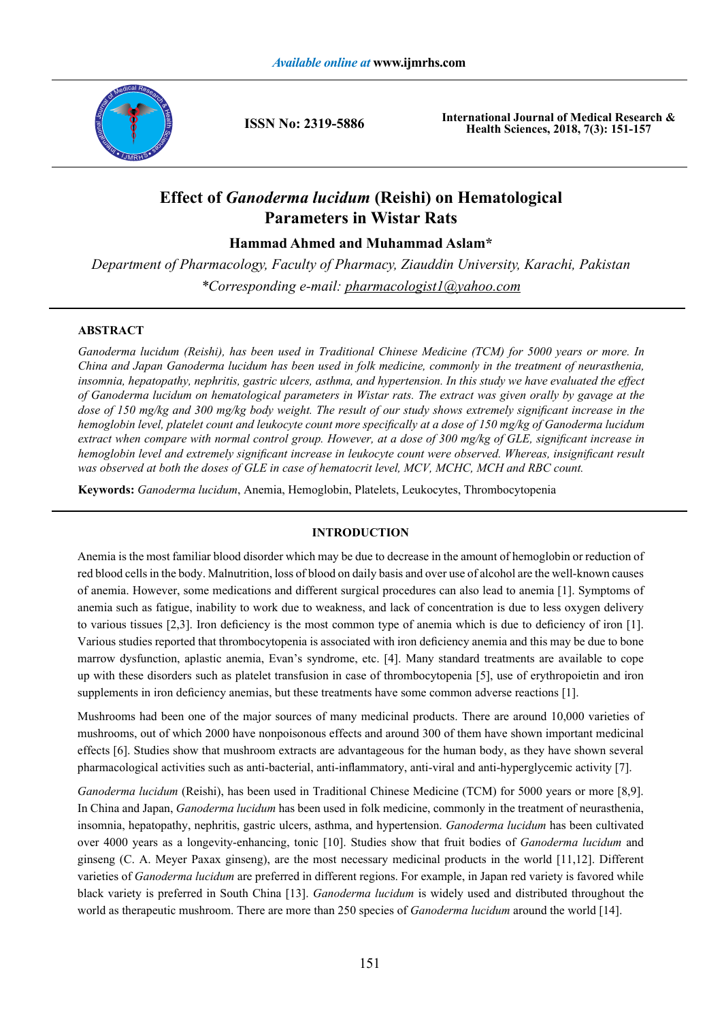

**ISSN No: 2319-5886**

**International Journal of Medical Research & Health Sciences, 2018, 7(3): 151-157**

# **Effect of** *Ganoderma lucidum* **(Reishi) on Hematological Parameters in Wistar Rats**

**Hammad Ahmed and Muhammad Aslam\***

*Department of Pharmacology, Faculty of Pharmacy, Ziauddin University, Karachi, Pakistan \*Corresponding e-mail: pharmacologist1@yahoo.com*

# **ABSTRACT**

*Ganoderma lucidum (Reishi), has been used in Traditional Chinese Medicine (TCM) for 5000 years or more. In China and Japan Ganoderma lucidum has been used in folk medicine, commonly in the treatment of neurasthenia, insomnia, hepatopathy, nephritis, gastric ulcers, asthma, and hypertension. In this study we have evaluated the effect of Ganoderma lucidum on hematological parameters in Wistar rats. The extract was given orally by gavage at the dose of 150 mg/kg and 300 mg/kg body weight. The result of our study shows extremely significant increase in the hemoglobin level, platelet count and leukocyte count more specifically at a dose of 150 mg/kg of Ganoderma lucidum extract when compare with normal control group. However, at a dose of 300 mg/kg of GLE, significant increase in hemoglobin level and extremely significant increase in leukocyte count were observed. Whereas, insignificant result was observed at both the doses of GLE in case of hematocrit level, MCV, MCHC, MCH and RBC count.*

**Keywords:** *Ganoderma lucidum*, Anemia, Hemoglobin, Platelets, Leukocytes, Thrombocytopenia

# **INTRODUCTION**

Anemia is the most familiar blood disorder which may be due to decrease in the amount of hemoglobin or reduction of red blood cells in the body. Malnutrition, loss of blood on daily basis and over use of alcohol are the well-known causes of anemia. However, some medications and different surgical procedures can also lead to anemia [1]. Symptoms of anemia such as fatigue, inability to work due to weakness, and lack of concentration is due to less oxygen delivery to various tissues [2,3]. Iron deficiency is the most common type of anemia which is due to deficiency of iron [1]. Various studies reported that thrombocytopenia is associated with iron deficiency anemia and this may be due to bone marrow dysfunction, aplastic anemia, Evan's syndrome, etc. [4]. Many standard treatments are available to cope up with these disorders such as platelet transfusion in case of thrombocytopenia [5], use of erythropoietin and iron supplements in iron deficiency anemias, but these treatments have some common adverse reactions [1].

Mushrooms had been one of the major sources of many medicinal products. There are around 10,000 varieties of mushrooms, out of which 2000 have nonpoisonous effects and around 300 of them have shown important medicinal effects [6]. Studies show that mushroom extracts are advantageous for the human body, as they have shown several pharmacological activities such as anti-bacterial, anti-inflammatory, anti-viral and anti-hyperglycemic activity [7].

*Ganoderma lucidum* (Reishi), has been used in Traditional Chinese Medicine (TCM) for 5000 years or more [8,9]. In China and Japan, *Ganoderma lucidum* has been used in folk medicine, commonly in the treatment of neurasthenia, insomnia, hepatopathy, nephritis, gastric ulcers, asthma, and hypertension. *Ganoderma lucidum* has been cultivated over 4000 years as a longevity-enhancing, tonic [10]. Studies show that fruit bodies of *Ganoderma lucidum* and ginseng (C. A. Meyer Paxax ginseng), are the most necessary medicinal products in the world [11,12]. Different varieties of *Ganoderma lucidum* are preferred in different regions. For example, in Japan red variety is favored while black variety is preferred in South China [13]. *Ganoderma lucidum* is widely used and distributed throughout the world as therapeutic mushroom. There are more than 250 species of *Ganoderma lucidum* around the world [14].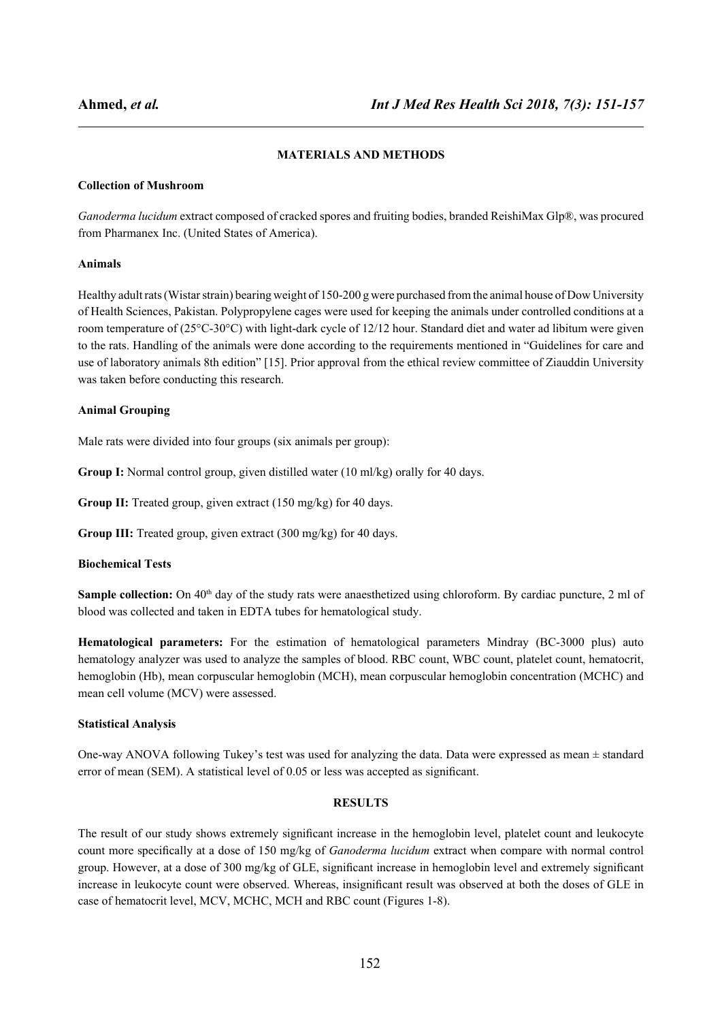# **MATERIALS AND METHODS**

## **Collection of Mushroom**

*Ganoderma lucidum* extract composed of cracked spores and fruiting bodies, branded ReishiMax Glp®, was procured from Pharmanex Inc. (United States of America).

## **Animals**

Healthy adult rats (Wistar strain) bearing weight of 150-200 g were purchased from the animal house of Dow University of Health Sciences, Pakistan. Polypropylene cages were used for keeping the animals under controlled conditions at a room temperature of (25°C-30°C) with light-dark cycle of 12/12 hour. Standard diet and water ad libitum were given to the rats. Handling of the animals were done according to the requirements mentioned in "Guidelines for care and use of laboratory animals 8th edition" [15]. Prior approval from the ethical review committee of Ziauddin University was taken before conducting this research.

### **Animal Grouping**

Male rats were divided into four groups (six animals per group):

**Group I:** Normal control group, given distilled water (10 ml/kg) orally for 40 days.

**Group II:** Treated group, given extract (150 mg/kg) for 40 days.

**Group III:** Treated group, given extract (300 mg/kg) for 40 days.

### **Biochemical Tests**

**Sample collection:** On 40<sup>th</sup> day of the study rats were anaesthetized using chloroform. By cardiac puncture, 2 ml of blood was collected and taken in EDTA tubes for hematological study.

**Hematological parameters:** For the estimation of hematological parameters Mindray (BC-3000 plus) auto hematology analyzer was used to analyze the samples of blood. RBC count, WBC count, platelet count, hematocrit, hemoglobin (Hb), mean corpuscular hemoglobin (MCH), mean corpuscular hemoglobin concentration (MCHC) and mean cell volume (MCV) were assessed.

## **Statistical Analysis**

One-way ANOVA following Tukey's test was used for analyzing the data. Data were expressed as mean  $\pm$  standard error of mean (SEM). A statistical level of 0.05 or less was accepted as significant.

#### **RESULTS**

The result of our study shows extremely significant increase in the hemoglobin level, platelet count and leukocyte count more specifically at a dose of 150 mg/kg of *Ganoderma lucidum* extract when compare with normal control group. However, at a dose of 300 mg/kg of GLE, significant increase in hemoglobin level and extremely significant increase in leukocyte count were observed. Whereas, insignificant result was observed at both the doses of GLE in case of hematocrit level, MCV, MCHC, MCH and RBC count (Figures 1-8).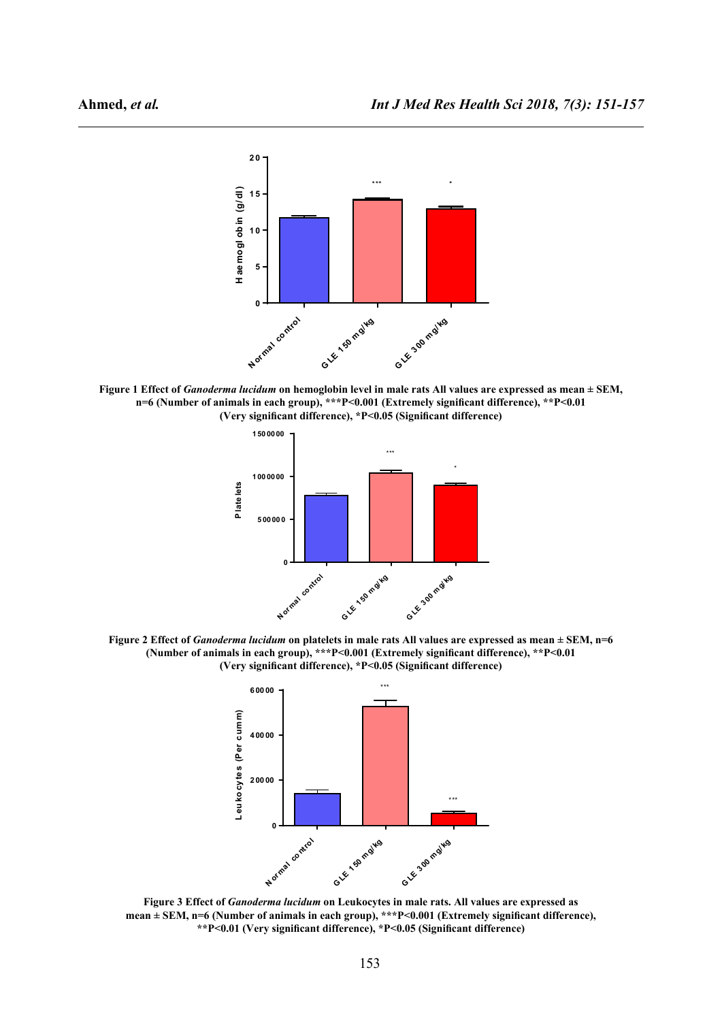

**Figure 1 Effect of** *Ganoderma lucidum* **on hemoglobin level in male rats All values are expressed as mean ± SEM, n=6 (Number of animals in each group), \*\*\*P<0.001 (Extremely significant difference), \*\*P<0.01 (Very significant difference), \*P<0.05 (Significant difference)**



**Figure 2 Effect of** *Ganoderma lucidum* **on platelets in male rats All values are expressed as mean ± SEM, n=6 (Number of animals in each group), \*\*\*P<0.001 (Extremely significant difference), \*\*P<0.01 (Very significant difference), \*P<0.05 (Significant difference)**



**Figure 3 Effect of** *Ganoderma lucidum* **on Leukocytes in male rats. All values are expressed as mean ± SEM, n=6 (Number of animals in each group), \*\*\*P<0.001 (Extremely significant difference), \*\*P<0.01 (Very significant difference), \*P<0.05 (Significant difference)**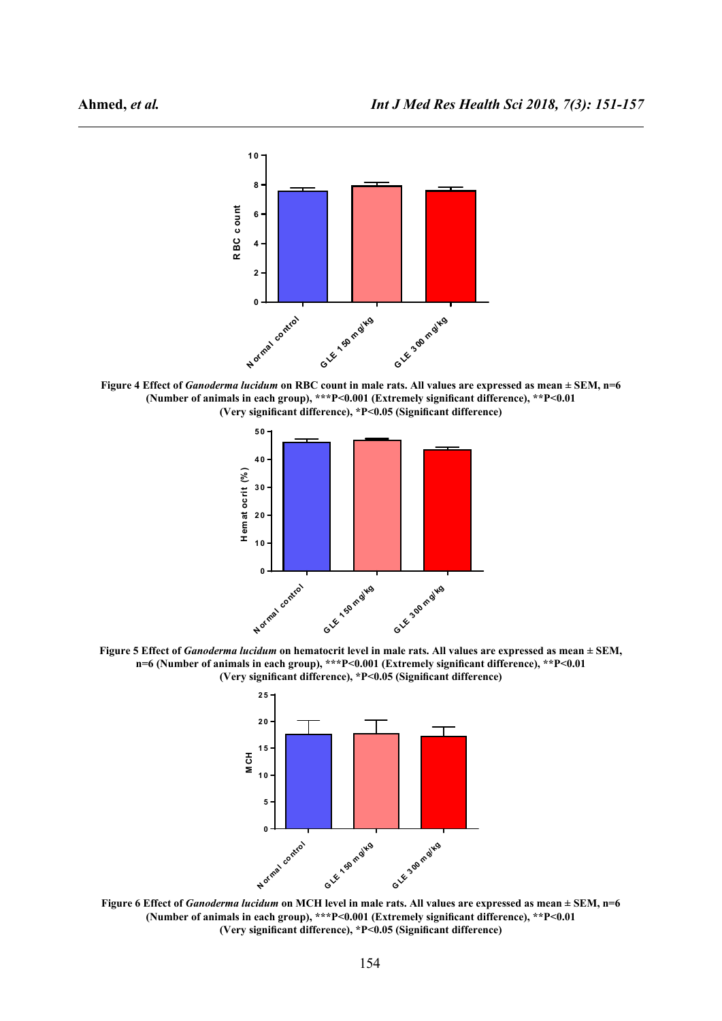

**Figure 4 Effect of** *Ganoderma lucidum* **on RBC count in male rats. All values are expressed as mean ± SEM, n=6 (Number of animals in each group), \*\*\*P<0.001 (Extremely significant difference), \*\*P<0.01 (Very significant difference), \*P<0.05 (Significant difference)**



**Figure 5 Effect of** *Ganoderma lucidum* **on hematocrit level in male rats. All values are expressed as mean ± SEM, n=6 (Number of animals in each group), \*\*\*P<0.001 (Extremely significant difference), \*\*P<0.01 (Very significant difference), \*P<0.05 (Significant difference)**



**Figure 6 Effect of** *Ganoderma lucidum* **on MCH level in male rats. All values are expressed as mean ± SEM, n=6 (Number of animals in each group), \*\*\*P<0.001 (Extremely significant difference), \*\*P<0.01 (Very significant difference), \*P<0.05 (Significant difference)**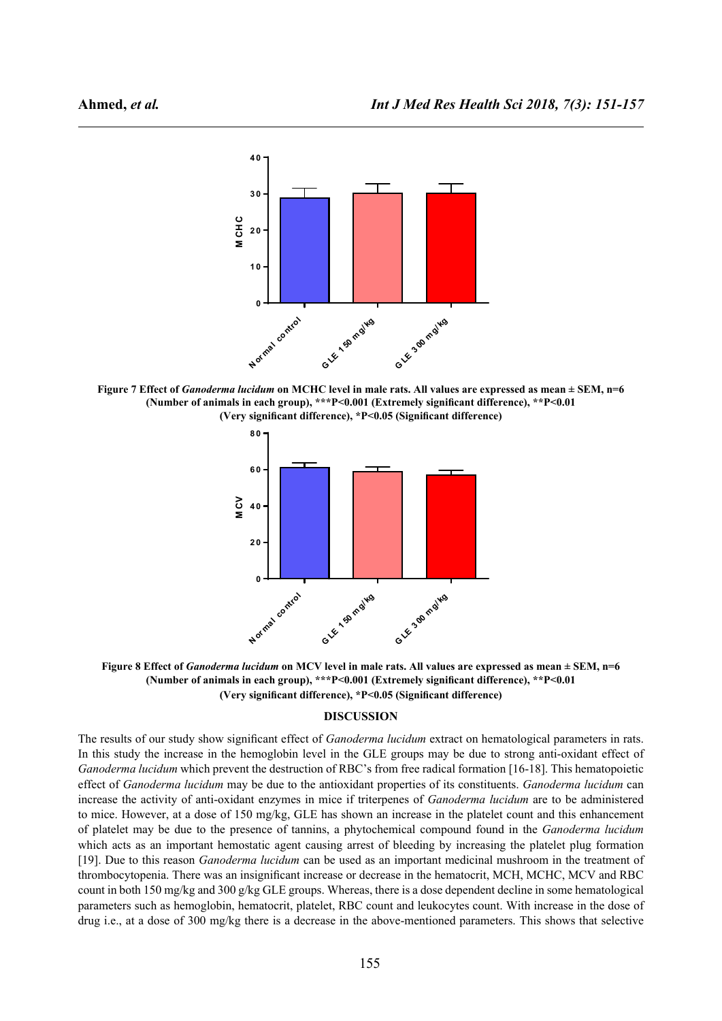

**Figure 7 Effect of** *Ganoderma lucidum* **on MCHC level in male rats. All values are expressed as mean ± SEM, n=6 (Number of animals in each group), \*\*\*P<0.001 (Extremely significant difference), \*\*P<0.01 (Very significant difference), \*P<0.05 (Significant difference)**



**Figure 8 Effect of** *Ganoderma lucidum* **on MCV level in male rats. All values are expressed as mean ± SEM, n=6 (Number of animals in each group), \*\*\*P<0.001 (Extremely significant difference), \*\*P<0.01 (Very significant difference), \*P<0.05 (Significant difference)**

#### **DISCUSSION**

The results of our study show significant effect of *Ganoderma lucidum* extract on hematological parameters in rats. In this study the increase in the hemoglobin level in the GLE groups may be due to strong anti-oxidant effect of *Ganoderma lucidum* which prevent the destruction of RBC's from free radical formation [16-18]. This hematopoietic effect of *Ganoderma lucidum* may be due to the antioxidant properties of its constituents. *Ganoderma lucidum* can increase the activity of anti-oxidant enzymes in mice if triterpenes of *Ganoderma lucidum* are to be administered to mice. However, at a dose of 150 mg/kg, GLE has shown an increase in the platelet count and this enhancement of platelet may be due to the presence of tannins, a phytochemical compound found in the *Ganoderma lucidum* which acts as an important hemostatic agent causing arrest of bleeding by increasing the platelet plug formation [19]. Due to this reason *Ganoderma lucidum* can be used as an important medicinal mushroom in the treatment of thrombocytopenia. There was an insignificant increase or decrease in the hematocrit, MCH, MCHC, MCV and RBC count in both 150 mg/kg and 300 g/kg GLE groups. Whereas, there is a dose dependent decline in some hematological parameters such as hemoglobin, hematocrit, platelet, RBC count and leukocytes count. With increase in the dose of drug i.e., at a dose of 300 mg/kg there is a decrease in the above-mentioned parameters. This shows that selective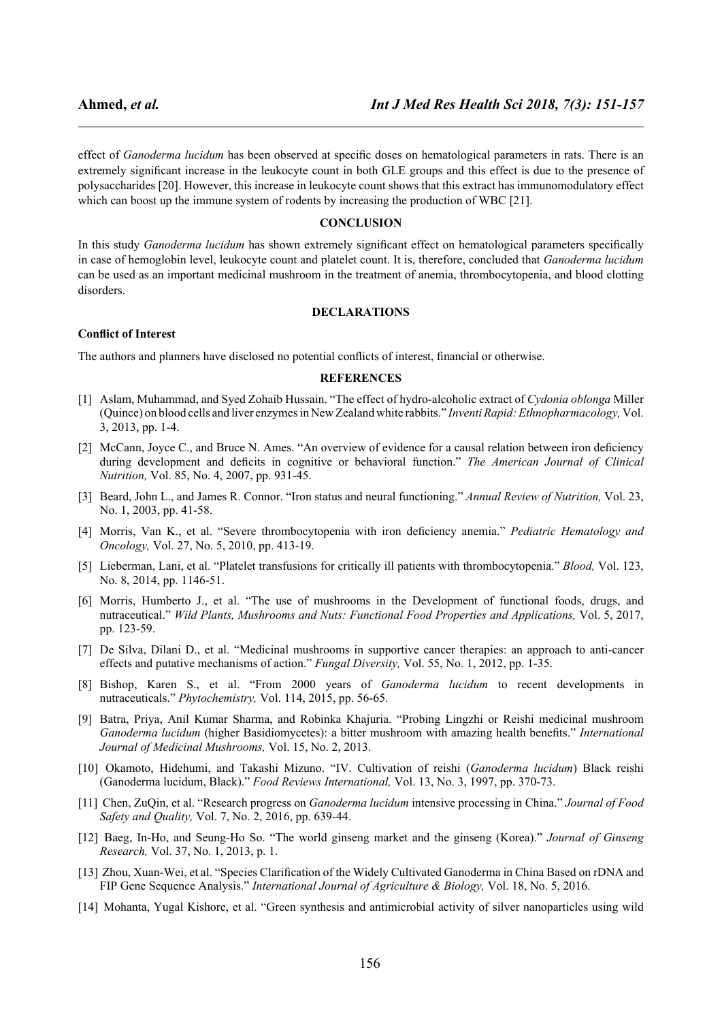effect of *Ganoderma lucidum* has been observed at specific doses on hematological parameters in rats. There is an extremely significant increase in the leukocyte count in both GLE groups and this effect is due to the presence of polysaccharides [20]. However, this increase in leukocyte count shows that this extract has immunomodulatory effect which can boost up the immune system of rodents by increasing the production of WBC [21].

## **CONCLUSION**

In this study *Ganoderma lucidum* has shown extremely significant effect on hematological parameters specifically in case of hemoglobin level, leukocyte count and platelet count. It is, therefore, concluded that *Ganoderma lucidum* can be used as an important medicinal mushroom in the treatment of anemia, thrombocytopenia, and blood clotting disorders.

#### **DECLARATIONS**

#### **Conflict of Interest**

The authors and planners have disclosed no potential conflicts of interest, financial or otherwise.

#### **REFERENCES**

- [1] Aslam, Muhammad, and Syed Zohaib Hussain. "The effect of hydro-alcoholic extract of *Cydonia oblonga* Miller (Quince) on blood cells and liver enzymes in New Zealand white rabbits." *Inventi Rapid: Ethnopharmacology,* Vol. 3, 2013, pp. 1-4.
- [2] McCann, Joyce C., and Bruce N. Ames. "An overview of evidence for a causal relation between iron deficiency during development and deficits in cognitive or behavioral function." *The American Journal of Clinical Nutrition,* Vol. 85, No. 4, 2007, pp. 931-45.
- [3] Beard, John L., and James R. Connor. "Iron status and neural functioning." *Annual Review of Nutrition,* Vol. 23, No. 1, 2003, pp. 41-58.
- [4] Morris, Van K., et al. "Severe thrombocytopenia with iron deficiency anemia." *Pediatric Hematology and Oncology,* Vol. 27, No. 5, 2010, pp. 413-19.
- [5] Lieberman, Lani, et al. "Platelet transfusions for critically ill patients with thrombocytopenia." *Blood,* Vol. 123, No. 8, 2014, pp. 1146-51.
- [6] Morris, Humberto J., et al. "The use of mushrooms in the Development of functional foods, drugs, and nutraceutical." *Wild Plants, Mushrooms and Nuts: Functional Food Properties and Applications,* Vol. 5, 2017, pp. 123-59.
- [7] De Silva, Dilani D., et al. "Medicinal mushrooms in supportive cancer therapies: an approach to anti-cancer effects and putative mechanisms of action." *Fungal Diversity,* Vol. 55, No. 1, 2012, pp. 1-35.
- [8] Bishop, Karen S., et al. "From 2000 years of *Ganoderma lucidum* to recent developments in nutraceuticals." *Phytochemistry,* Vol. 114, 2015, pp. 56-65.
- [9] Batra, Priya, Anil Kumar Sharma, and Robinka Khajuria. "Probing Lingzhi or Reishi medicinal mushroom *Ganoderma lucidum* (higher Basidiomycetes): a bitter mushroom with amazing health benefits." *International Journal of Medicinal Mushrooms,* Vol. 15, No. 2, 2013.
- [10] Okamoto, Hidehumi, and Takashi Mizuno. "IV. Cultivation of reishi (*Ganoderma lucidum*) Black reishi (Ganoderma lucidum, Black)." *Food Reviews International,* Vol. 13, No. 3, 1997, pp. 370-73.
- [11] Chen, ZuQin, et al. "Research progress on *Ganoderma lucidum* intensive processing in China." *Journal of Food Safety and Quality,* Vol. 7, No. 2, 2016, pp. 639-44.
- [12] Baeg, In-Ho, and Seung-Ho So. "The world ginseng market and the ginseng (Korea)." *Journal of Ginseng Research,* Vol. 37, No. 1, 2013, p. 1.
- [13] Zhou, Xuan-Wei, et al. "Species Clarification of the Widely Cultivated Ganoderma in China Based on rDNA and FIP Gene Sequence Analysis." *International Journal of Agriculture & Biology,* Vol. 18, No. 5, 2016.
- [14] Mohanta, Yugal Kishore, et al. "Green synthesis and antimicrobial activity of silver nanoparticles using wild